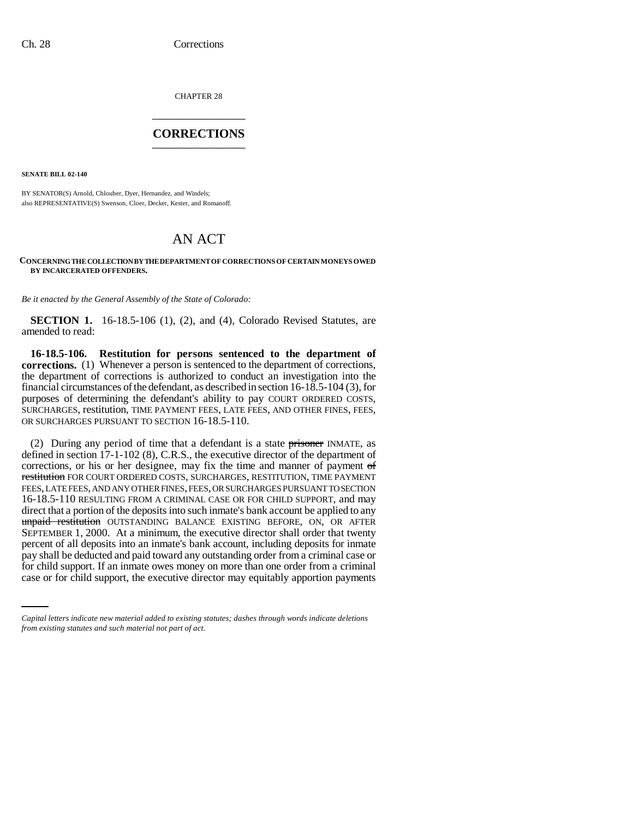CHAPTER 28 \_\_\_\_\_\_\_\_\_\_\_\_\_\_\_

## **CORRECTIONS** \_\_\_\_\_\_\_\_\_\_\_\_\_\_\_

**SENATE BILL 02-140**

BY SENATOR(S) Arnold, Chlouber, Dyer, Hernandez, and Windels; also REPRESENTATIVE(S) Swenson, Cloer, Decker, Kester, and Romanoff.

## AN ACT

## **CONCERNING THE COLLECTION BY THE DEPARTMENT OF CORRECTIONS OF CERTAIN MONEYS OWED BY INCARCERATED OFFENDERS.**

*Be it enacted by the General Assembly of the State of Colorado:*

**SECTION 1.** 16-18.5-106 (1), (2), and (4), Colorado Revised Statutes, are amended to read:

**16-18.5-106. Restitution for persons sentenced to the department of corrections.** (1) Whenever a person is sentenced to the department of corrections, the department of corrections is authorized to conduct an investigation into the financial circumstances of the defendant, as described in section 16-18.5-104 (3), for purposes of determining the defendant's ability to pay COURT ORDERED COSTS, SURCHARGES, restitution, TIME PAYMENT FEES, LATE FEES, AND OTHER FINES, FEES, OR SURCHARGES PURSUANT TO SECTION 16-18.5-110.

pay shall be deducted and paid toward any outstanding order from a criminal case or (2) During any period of time that a defendant is a state prisoner INMATE, as defined in section 17-1-102 (8), C.R.S., the executive director of the department of corrections, or his or her designee, may fix the time and manner of payment of restitution FOR COURT ORDERED COSTS, SURCHARGES, RESTITUTION, TIME PAYMENT FEES, LATE FEES, AND ANY OTHER FINES, FEES, OR SURCHARGES PURSUANT TO SECTION 16-18.5-110 RESULTING FROM A CRIMINAL CASE OR FOR CHILD SUPPORT, and may direct that a portion of the deposits into such inmate's bank account be applied to any unpaid restitution OUTSTANDING BALANCE EXISTING BEFORE, ON, OR AFTER SEPTEMBER 1, 2000. At a minimum, the executive director shall order that twenty percent of all deposits into an inmate's bank account, including deposits for inmate for child support. If an inmate owes money on more than one order from a criminal case or for child support, the executive director may equitably apportion payments

*Capital letters indicate new material added to existing statutes; dashes through words indicate deletions from existing statutes and such material not part of act.*